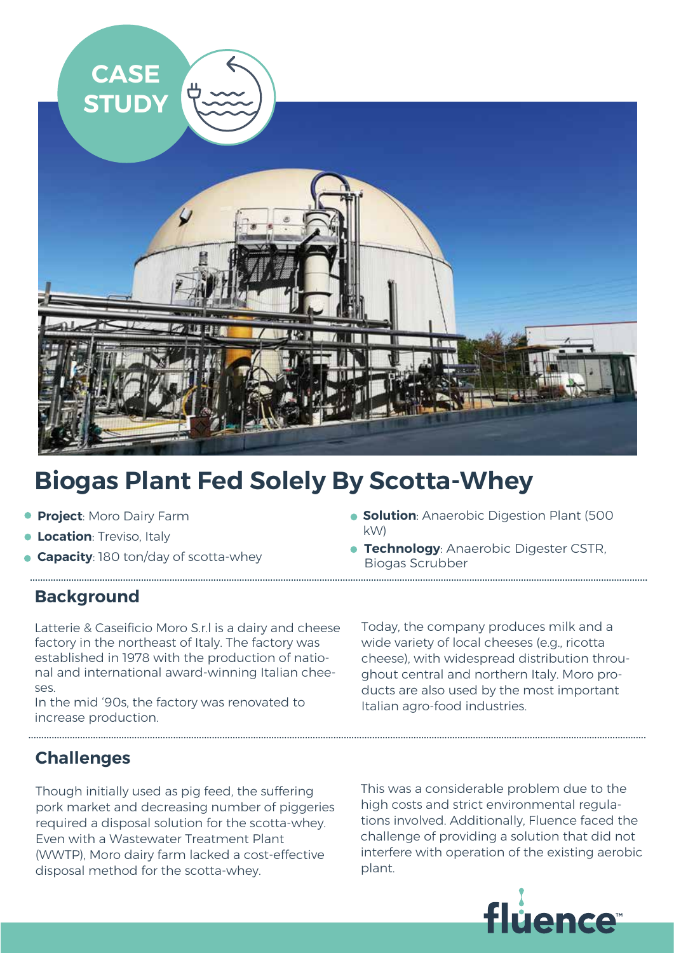

...............................................................................................................................................................................................................................................

# **Biogas Plant Fed Solely By Scotta-Whey**

- **Project**: Moro Dairy Farm
- **Location:** Treviso, Italy
- **Capacity**: 180 ton/day of scotta-whey
- **Solution**: Anaerobic Digestion Plant (500 kW)
- ............................................................................................................................................................................................................................................... **Technology: Anaerobic Digester CSTR,** Biogas Scrubber

## **Background**

Latterie & Caseificio Moro S.r.l is a dairy and cheese factory in the northeast of Italy. The factory was established in 1978 with the production of national and international award-winning Italian cheeses.

In the mid '90s, the factory was renovated to increase production.

Today, the company produces milk and a wide variety of local cheeses (e.g., ricotta cheese), with widespread distribution throughout central and northern Italy. Moro products are also used by the most important Italian agro-food industries.

## **Challenges**

Though initially used as pig feed, the suffering pork market and decreasing number of piggeries required a disposal solution for the scotta-whey. Even with a Wastewater Treatment Plant (WWTP), Moro dairy farm lacked a cost-effective disposal method for the scotta-whey.

This was a considerable problem due to the high costs and strict environmental regulations involved. Additionally, Fluence faced the challenge of providing a solution that did not interfere with operation of the existing aerobic plant.